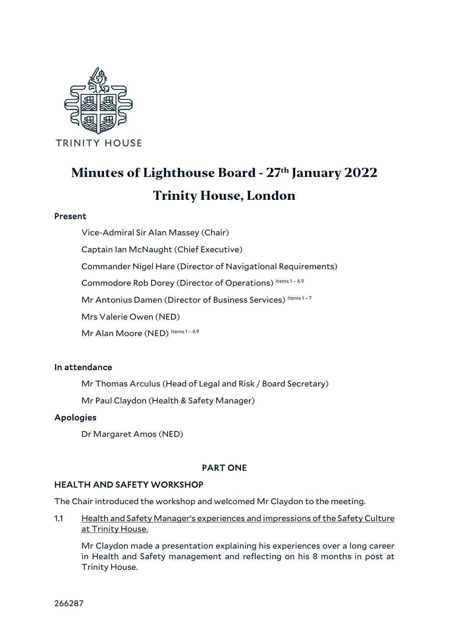

# **Minutes of Lighthouse Board - 27th January 2022 Trinity House, London**

# Present

Vice-Admiral Sir Alan Massey (Chair)

Captain Ian McNaught (Chief Executive)

Commander Nigel Hare (Director of Navigational Requirements)

Commodore Rob Dorey (Director of Operations) Items 1-4.9

Mr Antonius Damen (Director of Business Services) Items 1-7

Mrs Valerie Owen (NED)

Mr Alan Moore (NED) Items 1 - 4.9

# In attendance

Mr Thomas Arculus (Head of Legal and Risk / Board Secretary)

Mr Paul Claydon (Health & Safety Manager)

# Apologies

Dr Margaret Amos (NED)

# PART ONE

# HEALTH AND SAFETY WORKSHOP

The Chair introduced the workshop and welcomed Mr Claydon to the meeting.

1.1 Health and Safety Manager's experiences and impressions of the Safety Culture at Trinity House.

Mr Claydon made a presentation explaining his experiences over a long career in Health and Safety management and reflecting on his 8 months in post at Trinity House.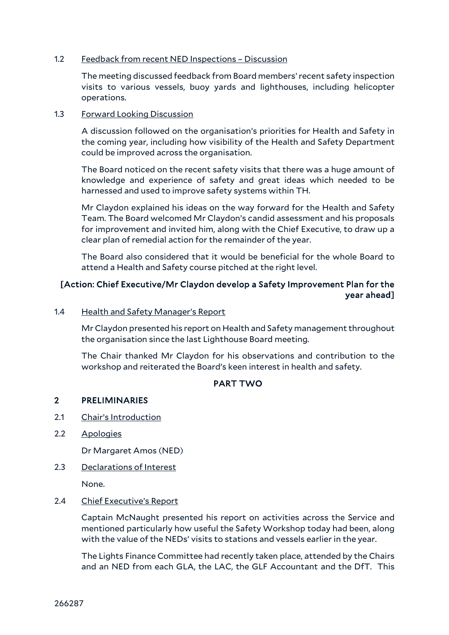### 1.2 Feedback from recent NED Inspections – Discussion

The meeting discussed feedback from Board members' recent safety inspection visits to various vessels, buoy yards and lighthouses, including helicopter operations.

# 1.3 Forward Looking Discussion

A discussion followed on the organisation's priorities for Health and Safety in the coming year, including how visibility of the Health and Safety Department could be improved across the organisation.

The Board noticed on the recent safety visits that there was a huge amount of knowledge and experience of safety and great ideas which needed to be harnessed and used to improve safety systems within TH.

Mr Claydon explained his ideas on the way forward for the Health and Safety Team. The Board welcomed Mr Claydon's candid assessment and his proposals for improvement and invited him, along with the Chief Executive, to draw up a clear plan of remedial action for the remainder of the year.

The Board also considered that it would be beneficial for the whole Board to attend a Health and Safety course pitched at the right level.

# [Action: Chief Executive/Mr Claydon develop a Safety Improvement Plan for the year ahead]

#### 1.4 Health and Safety Manager's Report

Mr Claydon presented his report on Health and Safety management throughout the organisation since the last Lighthouse Board meeting.

The Chair thanked Mr Claydon for his observations and contribution to the workshop and reiterated the Board's keen interest in health and safety.

# PART TWO

# 2 PRELIMINARIES

- 2.1 Chair's Introduction
- 2.2 Apologies

Dr Margaret Amos (NED)

# 2.3 Declarations of Interest

None.

#### 2.4 Chief Executive's Report

Captain McNaught presented his report on activities across the Service and mentioned particularly how useful the Safety Workshop today had been, along with the value of the NEDs' visits to stations and vessels earlier in the year.

The Lights Finance Committee had recently taken place, attended by the Chairs and an NED from each GLA, the LAC, the GLF Accountant and the DfT. This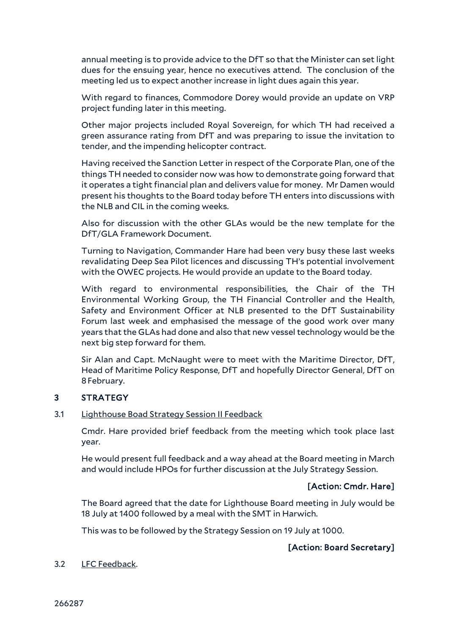annual meeting is to provide advice to the DfT so that the Minister can set light dues for the ensuing year, hence no executives attend. The conclusion of the meeting led us to expect another increase in light dues again this year.

With regard to finances, Commodore Dorey would provide an update on VRP project funding later in this meeting.

Other major projects included Royal Sovereign, for which TH had received a green assurance rating from DfT and was preparing to issue the invitation to tender, and the impending helicopter contract.

Having received the Sanction Letter in respect of the Corporate Plan, one of the things TH needed to consider now was how to demonstrate going forward that it operates a tight financial plan and delivers value for money. Mr Damen would present his thoughts to the Board today before TH enters into discussions with the NLB and CIL in the coming weeks.

Also for discussion with the other GLAs would be the new template for the DfT/GLA Framework Document.

Turning to Navigation, Commander Hare had been very busy these last weeks revalidating Deep Sea Pilot licences and discussing TH's potential involvement with the OWEC projects. He would provide an update to the Board today.

With regard to environmental responsibilities, the Chair of the TH Environmental Working Group, the TH Financial Controller and the Health, Safety and Environment Officer at NLB presented to the DfT Sustainability Forum last week and emphasised the message of the good work over many years that the GLAs had done and also that new vessel technology would be the next big step forward for them.

Sir Alan and Capt. McNaught were to meet with the Maritime Director, DfT, Head of Maritime Policy Response, DfT and hopefully Director General, DfT on 8February.

# 3 STRATEGY

#### 3.1 Lighthouse Boad Strategy Session II Feedback

Cmdr. Hare provided brief feedback from the meeting which took place last year.

He would present full feedback and a way ahead at the Board meeting in March and would include HPOs for further discussion at the July Strategy Session.

# [Action: Cmdr. Hare]

The Board agreed that the date for Lighthouse Board meeting in July would be 18 July at 1400 followed by a meal with the SMT in Harwich.

This was to be followed by the Strategy Session on 19 July at 1000.

# [Action: Board Secretary]

# 3.2 LFC Feedback.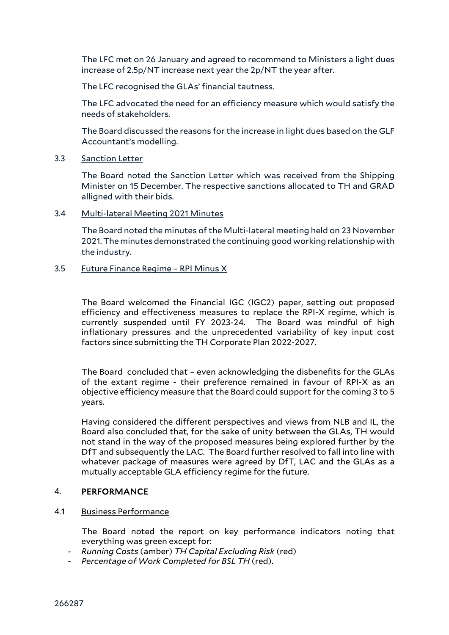The LFC met on 26 January and agreed to recommend to Ministers a light dues increase of 2.5p/NT increase next year the 2p/NT the year after.

The LFC recognised the GLAs' financial tautness.

The LFC advocated the need for an efficiency measure which would satisfy the needs of stakeholders.

The Board discussed the reasons for the increase in light dues based on the GLF Accountant's modelling.

3.3 Sanction Letter

The Board noted the Sanction Letter which was received from the Shipping Minister on 15 December. The respective sanctions allocated to TH and GRAD alligned with their bids.

3.4 Multi-lateral Meeting 2021 Minutes

The Board noted the minutes of the Multi-lateral meeting held on 23 November 2021. The minutes demonstrated the continuing good working relationship with the industry.

3.5 Future Finance Regime – RPI Minus X

The Board welcomed the Financial IGC (IGC2) paper, setting out proposed efficiency and effectiveness measures to replace the RPI-X regime, which is currently suspended until FY 2023-24. The Board was mindful of high inflationary pressures and the unprecedented variability of key input cost factors since submitting the TH Corporate Plan 2022-2027.

The Board concluded that – even acknowledging the disbenefits for the GLAs of the extant regime - their preference remained in favour of RPI-X as an objective efficiency measure that the Board could support for the coming 3 to 5 years.

Having considered the different perspectives and views from NLB and IL, the Board also concluded that, for the sake of unity between the GLAs, TH would not stand in the way of the proposed measures being explored further by the DfT and subsequently the LAC. The Board further resolved to fall into line with whatever package of measures were agreed by DfT, LAC and the GLAs as a mutually acceptable GLA efficiency regime for the future.

# 4. PERFORMANCE

#### 4.1 Business Performance

The Board noted the report on key performance indicators noting that everything was green except for:

- *Running Costs* (amber) *TH Capital Excluding Risk* (red)
- *Percentage of Work Completed for BSL TH* (red).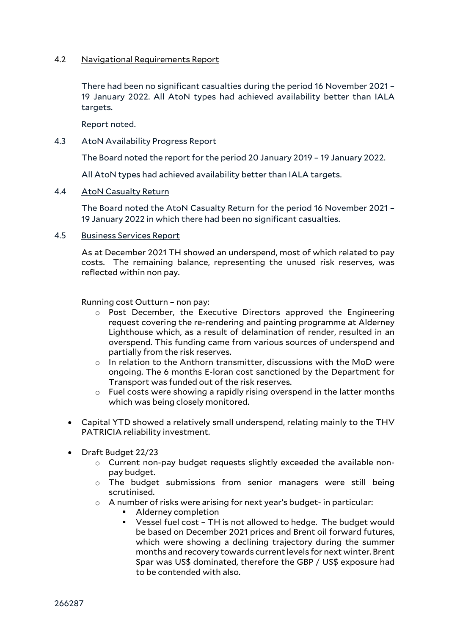# 4.2 Navigational Requirements Report

There had been no significant casualties during the period 16 November 2021 – 19 January 2022. All AtoN types had achieved availability better than IALA targets.

Report noted.

#### 4.3 AtoN Availability Progress Report

The Board noted the report for the period 20 January 2019 – 19 January 2022.

All AtoN types had achieved availability better than IALA targets.

#### 4.4 AtoN Casualty Return

The Board noted the AtoN Casualty Return for the period 16 November 2021 – 19 January 2022 in which there had been no significant casualties.

# 4.5 Business Services Report

As at December 2021 TH showed an underspend, most of which related to pay costs. The remaining balance, representing the unused risk reserves, was reflected within non pay.

Running cost Outturn – non pay:

- o Post December, the Executive Directors approved the Engineering request covering the re-rendering and painting programme at Alderney Lighthouse which, as a result of delamination of render, resulted in an overspend. This funding came from various sources of underspend and partially from the risk reserves.
- $\circ$  In relation to the Anthorn transmitter, discussions with the MoD were ongoing. The 6 months E-loran cost sanctioned by the Department for Transport was funded out of the risk reserves.
- o Fuel costs were showing a rapidly rising overspend in the latter months which was being closely monitored.
- Capital YTD showed a relatively small underspend, relating mainly to the THV PATRICIA reliability investment.
- Draft Budget 22/23
	- o Current non-pay budget requests slightly exceeded the available nonpay budget.
	- o The budget submissions from senior managers were still being scrutinised.
	- $\circ$  A number of risks were arising for next year's budget- in particular:
		- Alderney completion
		- Vessel fuel cost TH is not allowed to hedge. The budget would be based on December 2021 prices and Brent oil forward futures, which were showing a declining trajectory during the summer months and recovery towards current levels for next winter. Brent Spar was US\$ dominated, therefore the GBP / US\$ exposure had to be contended with also.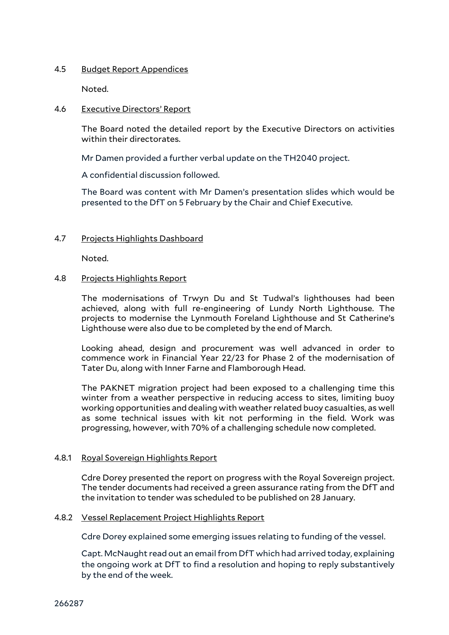## 4.5 Budget Report Appendices

Noted.

#### 4.6 Executive Directors' Report

The Board noted the detailed report by the Executive Directors on activities within their directorates.

Mr Damen provided a further verbal update on the TH2040 project.

A confidential discussion followed.

The Board was content with Mr Damen's presentation slides which would be presented to the DfT on 5 February by the Chair and Chief Executive.

# 4.7 Projects Highlights Dashboard

Noted.

# 4.8 Projects Highlights Report

The modernisations of Trwyn Du and St Tudwal's lighthouses had been achieved, along with full re-engineering of Lundy North Lighthouse. The projects to modernise the Lynmouth Foreland Lighthouse and St Catherine's Lighthouse were also due to be completed by the end of March.

Looking ahead, design and procurement was well advanced in order to commence work in Financial Year 22/23 for Phase 2 of the modernisation of Tater Du, along with Inner Farne and Flamborough Head.

The PAKNET migration project had been exposed to a challenging time this winter from a weather perspective in reducing access to sites, limiting buoy working opportunities and dealing with weather related buoy casualties, as well as some technical issues with kit not performing in the field. Work was progressing, however, with 70% of a challenging schedule now completed.

# 4.8.1 Royal Sovereign Highlights Report

Cdre Dorey presented the report on progress with the Royal Sovereign project. The tender documents had received a green assurance rating from the DfT and the invitation to tender was scheduled to be published on 28 January.

#### 4.8.2 Vessel Replacement Project Highlights Report

Cdre Dorey explained some emerging issues relating to funding of the vessel.

Capt. McNaught read out an email from DfT which had arrived today, explaining the ongoing work at DfT to find a resolution and hoping to reply substantively by the end of the week.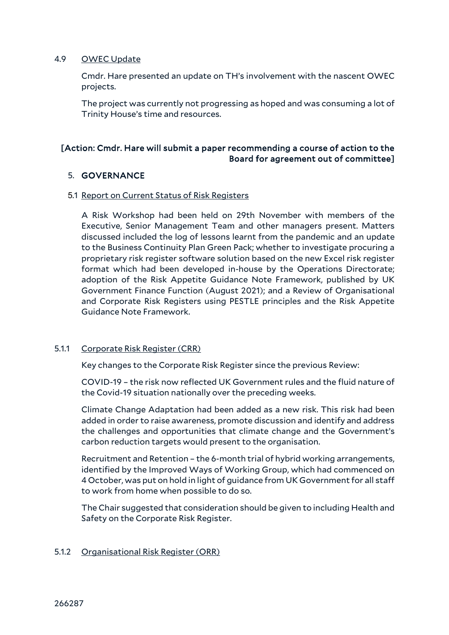# 4.9 OWEC Update

Cmdr. Hare presented an update on TH's involvement with the nascent OWEC projects.

The project was currently not progressing as hoped and was consuming a lot of Trinity House's time and resources.

# [Action: Cmdr. Hare will submit a paper recommending a course of action to the Board for agreement out of committee]

# 5. GOVERNANCE

#### 5.1 Report on Current Status of Risk Registers

A Risk Workshop had been held on 29th November with members of the Executive, Senior Management Team and other managers present. Matters discussed included the log of lessons learnt from the pandemic and an update to the Business Continuity Plan Green Pack; whether to investigate procuring a proprietary risk register software solution based on the new Excel risk register format which had been developed in-house by the Operations Directorate; adoption of the Risk Appetite Guidance Note Framework, published by UK Government Finance Function (August 2021); and a Review of Organisational and Corporate Risk Registers using PESTLE principles and the Risk Appetite Guidance Note Framework.

# 5.1.1 Corporate Risk Register (CRR)

Key changes to the Corporate Risk Register since the previous Review:

COVID-19 – the risk now reflected UK Government rules and the fluid nature of the Covid-19 situation nationally over the preceding weeks.

Climate Change Adaptation had been added as a new risk. This risk had been added in order to raise awareness, promote discussion and identify and address the challenges and opportunities that climate change and the Government's carbon reduction targets would present to the organisation.

Recruitment and Retention – the 6-month trial of hybrid working arrangements, identified by the Improved Ways of Working Group, which had commenced on 4 October, was put on hold in light of guidance from UK Government for all staff to work from home when possible to do so.

The Chair suggested that consideration should be given to including Health and Safety on the Corporate Risk Register.

# 5.1.2 Organisational Risk Register (ORR)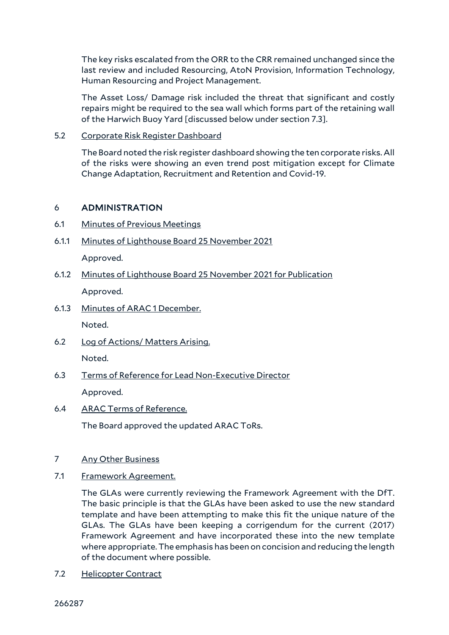The key risks escalated from the ORR to the CRR remained unchanged since the last review and included Resourcing, AtoN Provision, Information Technology, Human Resourcing and Project Management.

The Asset Loss/ Damage risk included the threat that significant and costly repairs might be required to the sea wall which forms part of the retaining wall of the Harwich Buoy Yard [discussed below under section 7.3].

# 5.2 Corporate Risk Register Dashboard

The Board noted the risk register dashboard showing the ten corporate risks. All of the risks were showing an even trend post mitigation except for Climate Change Adaptation, Recruitment and Retention and Covid-19.

# 6 ADMINISTRATION

- 6.1 Minutes of Previous Meetings
- 6.1.1 Minutes of Lighthouse Board 25 November 2021 Approved.
- 6.1.2 Minutes of Lighthouse Board 25 November 2021 for Publication Approved.
- 6.1.3 Minutes of ARAC 1 December.

Noted.

- 6.2 Log of Actions/ Matters Arising. Noted.
- 6.3 Terms of Reference for Lead Non-Executive Director Approved.
- 6.4 ARAC Terms of Reference.

The Board approved the updated ARAC ToRs.

# 7 Any Other Business

7.1 Framework Agreement.

The GLAs were currently reviewing the Framework Agreement with the DfT. The basic principle is that the GLAs have been asked to use the new standard template and have been attempting to make this fit the unique nature of the GLAs. The GLAs have been keeping a corrigendum for the current (2017) Framework Agreement and have incorporated these into the new template where appropriate. The emphasis has been on concision and reducing the length of the document where possible.

7.2 Helicopter Contract